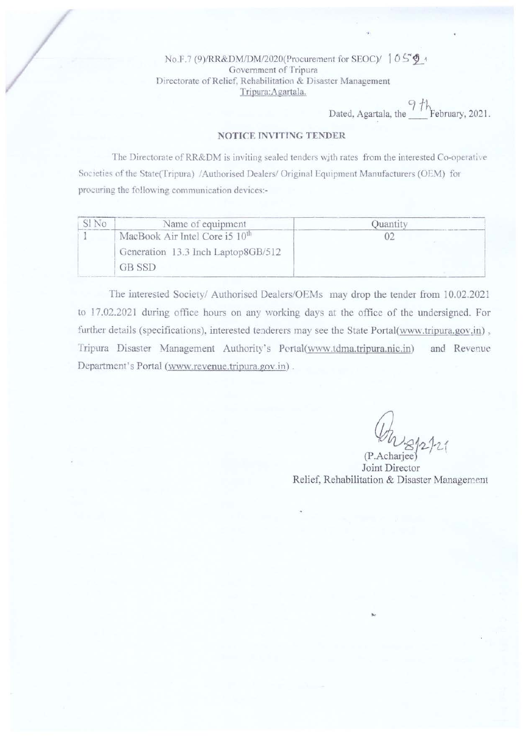No.F.7 (9)/RR&DM/DM/2020(Procurement for SEOC)/ 1050+ Government of Tripura Directorate of Relief, Rehabilitation & Disaster Management Tripura: Agartala.

Dated, Agartala, the  $\frac{9 \text{ th}}{1 \text{ F}$ ebruary, 2021.

#### NOTICE INVITING TENDER

The Directorate of RR&DM is inviting sealed tenders with rates from the interested Co-operative Societies of the State(Tripura) /Authorised Dealers/ Original Equipment Manufacturers (OEM) for procuring the following communication devices:-

| Name of equipment                                                                          | Juanti <sup>r</sup> |
|--------------------------------------------------------------------------------------------|---------------------|
| MacBook Air Intel Core i5 10 <sup>th</sup><br>Generation 13.3 Inch Laptop8GB/512<br>GB SSD |                     |

The interested Society/ Authorised Dealers/OEMs may drop the tender from 10.02.2021 to 17.02.2021 during office hours on any working days at the office of the undersigned. For further details (specifications), interested tenderers may see the State Portal(www.tripura.gov.in), Tripura Disaster Management Authority's Pertal(www.tdma.tripura.nic.in) and Revenue Department's Portal (www.revenue.tripura.gov.in).

Joint Director Relief, Rehabilitation & Disaster Management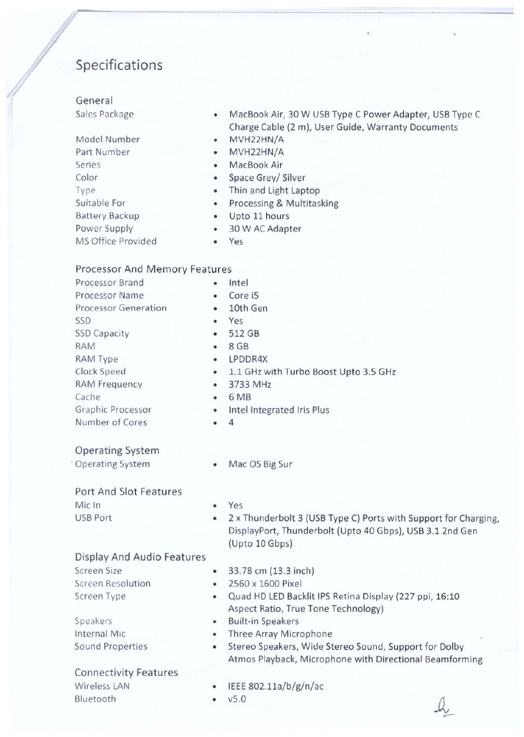# Specifications

# General

Sales Package

- Model Number Part Number Series Color Type Suitable For Battery Backup Power Supply MS Office Provided
- MacBook Air, 30 W USB Type C Power Adapter, USB Type C Charge Cable (2 m), User Guide, Warranty Documents
- MVH22HN/A
- MVH22HN/A MacBook Air
- •
- Space Grey/ Silver
- Thin and Light Laptop
- Processing & Multitasking
- Upto 11 hours
- 30 W AC Adapter
- Yes

# Processor And Memory Features

| Processor Brand             | ٠         | Intel                                                           |
|-----------------------------|-----------|-----------------------------------------------------------------|
| Processor Name              | $\bullet$ | Core i5                                                         |
| <b>Processor Generation</b> | ٠         | 10th Gen                                                        |
| SSD                         | ۰         | Yes                                                             |
| <b>SSD Capacity</b>         | ۰         | 512 GB                                                          |
| <b>RAM</b>                  | ۰         | 8 GB                                                            |
| RAM Type                    | ٠         | LPDDR4X                                                         |
| Clock Speed                 | ٠         | 1.1 GHz with Turbo Boost Upto 3.5 GHz                           |
| <b>RAM Frequency</b>        | ٠         | 3733 MHz                                                        |
| Cache                       | ۰         | 6 MB                                                            |
| Graphic Processor           | $\bullet$ | Intel Integrated Iris Plus                                      |
| Number of Cores             | ٠         | 4                                                               |
| <b>Operating System</b>     |           |                                                                 |
| <b>Operating System</b>     | $\bullet$ | Mac OS Big Sur                                                  |
| Port And Slot Features      |           |                                                                 |
| Mic In                      | ٠         | Yes                                                             |
| USB Port                    | ٠         | 2 x Thunderbolt 3 (USB Type C) Ports with Support for Charging, |

- DisplayPort, Thunderbolt (Upto 40 Gbps), USB 3.1 2nd Gen (Upto 10 Gbps)
- Display And Audio Features Screen Size
- Screen Resolution Screen Type
- Speakers Internal Mic Sound Properties

## Connectivity Features

Wireless LAN Bluetooth

- 33.78 em {13.3 inch) • 2560 x 1600 Pixel
- 
- Quad HD LED Backlit IPS Retina Display (227 ppi, 16:10 Aspect Ratio, True Tone Technology)
- Built-in Speakers
- Three Array Microphone
- Stereo Speakers, Wide Stereo Sound, Support for Dolby Atmos Playback, Microphone with Directional Beamforming
- IEEE 802.11a/b/g/n/ac
	- vS.O